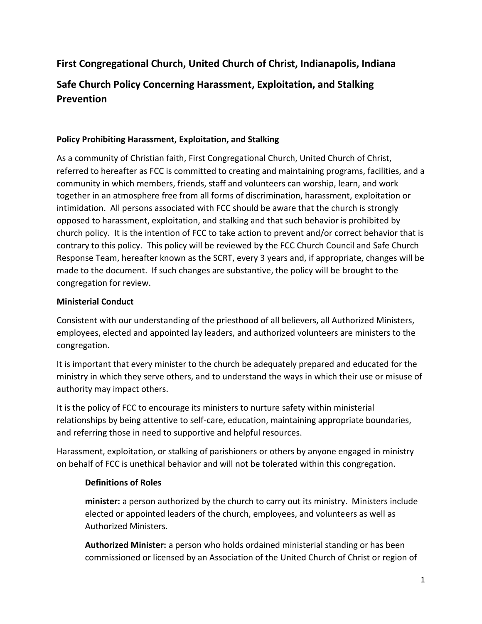# **First Congregational Church, United Church of Christ, Indianapolis, Indiana**

## **Safe Church Policy Concerning Harassment, Exploitation, and Stalking Prevention**

#### **Policy Prohibiting Harassment, Exploitation, and Stalking**

As a community of Christian faith, First Congregational Church, United Church of Christ, referred to hereafter as FCC is committed to creating and maintaining programs, facilities, and a community in which members, friends, staff and volunteers can worship, learn, and work together in an atmosphere free from all forms of discrimination, harassment, exploitation or intimidation. All persons associated with FCC should be aware that the church is strongly opposed to harassment, exploitation, and stalking and that such behavior is prohibited by church policy. It is the intention of FCC to take action to prevent and/or correct behavior that is contrary to this policy. This policy will be reviewed by the FCC Church Council and Safe Church Response Team, hereafter known as the SCRT, every 3 years and, if appropriate, changes will be made to the document. If such changes are substantive, the policy will be brought to the congregation for review.

#### **Ministerial Conduct**

Consistent with our understanding of the priesthood of all believers, all Authorized Ministers, employees, elected and appointed lay leaders, and authorized volunteers are ministers to the congregation.

It is important that every minister to the church be adequately prepared and educated for the ministry in which they serve others, and to understand the ways in which their use or misuse of authority may impact others.

It is the policy of FCC to encourage its ministers to nurture safety within ministerial relationships by being attentive to self-care, education, maintaining appropriate boundaries, and referring those in need to supportive and helpful resources.

Harassment, exploitation, or stalking of parishioners or others by anyone engaged in ministry on behalf of FCC is unethical behavior and will not be tolerated within this congregation.

#### **Definitions of Roles**

**minister:** a person authorized by the church to carry out its ministry. Ministers include elected or appointed leaders of the church, employees, and volunteers as well as Authorized Ministers.

**Authorized Minister:** a person who holds ordained ministerial standing or has been commissioned or licensed by an Association of the United Church of Christ or region of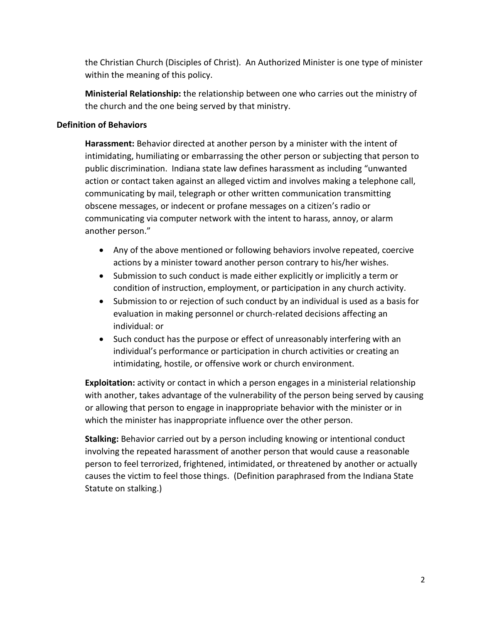the Christian Church (Disciples of Christ). An Authorized Minister is one type of minister within the meaning of this policy.

**Ministerial Relationship:** the relationship between one who carries out the ministry of the church and the one being served by that ministry.

#### **Definition of Behaviors**

**Harassment:** Behavior directed at another person by a minister with the intent of intimidating, humiliating or embarrassing the other person or subjecting that person to public discrimination. Indiana state law defines harassment as including "unwanted action or contact taken against an alleged victim and involves making a telephone call, communicating by mail, telegraph or other written communication transmitting obscene messages, or indecent or profane messages on a citizen's radio or communicating via computer network with the intent to harass, annoy, or alarm another person."

- Any of the above mentioned or following behaviors involve repeated, coercive actions by a minister toward another person contrary to his/her wishes.
- Submission to such conduct is made either explicitly or implicitly a term or condition of instruction, employment, or participation in any church activity.
- Submission to or rejection of such conduct by an individual is used as a basis for evaluation in making personnel or church-related decisions affecting an individual: or
- Such conduct has the purpose or effect of unreasonably interfering with an individual's performance or participation in church activities or creating an intimidating, hostile, or offensive work or church environment.

**Exploitation:** activity or contact in which a person engages in a ministerial relationship with another, takes advantage of the vulnerability of the person being served by causing or allowing that person to engage in inappropriate behavior with the minister or in which the minister has inappropriate influence over the other person.

**Stalking:** Behavior carried out by a person including knowing or intentional conduct involving the repeated harassment of another person that would cause a reasonable person to feel terrorized, frightened, intimidated, or threatened by another or actually causes the victim to feel those things. (Definition paraphrased from the Indiana State Statute on stalking.)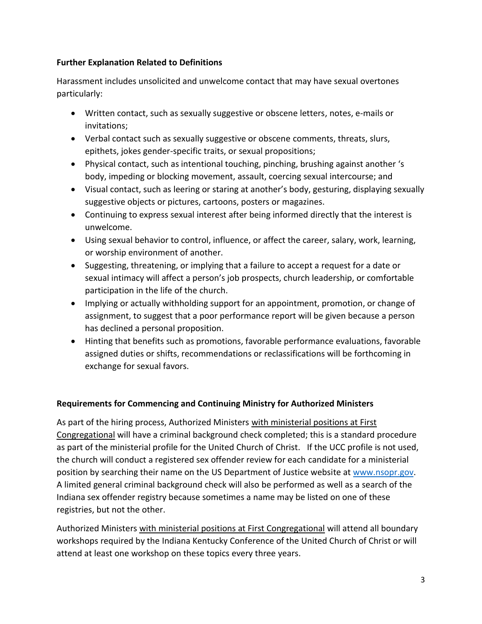## **Further Explanation Related to Definitions**

Harassment includes unsolicited and unwelcome contact that may have sexual overtones particularly:

- Written contact, such as sexually suggestive or obscene letters, notes, e-mails or invitations;
- Verbal contact such as sexually suggestive or obscene comments, threats, slurs, epithets, jokes gender-specific traits, or sexual propositions;
- Physical contact, such as intentional touching, pinching, brushing against another 's body, impeding or blocking movement, assault, coercing sexual intercourse; and
- Visual contact, such as leering or staring at another's body, gesturing, displaying sexually suggestive objects or pictures, cartoons, posters or magazines.
- Continuing to express sexual interest after being informed directly that the interest is unwelcome.
- Using sexual behavior to control, influence, or affect the career, salary, work, learning, or worship environment of another.
- Suggesting, threatening, or implying that a failure to accept a request for a date or sexual intimacy will affect a person's job prospects, church leadership, or comfortable participation in the life of the church.
- Implying or actually withholding support for an appointment, promotion, or change of assignment, to suggest that a poor performance report will be given because a person has declined a personal proposition.
- Hinting that benefits such as promotions, favorable performance evaluations, favorable assigned duties or shifts, recommendations or reclassifications will be forthcoming in exchange for sexual favors.

## **Requirements for Commencing and Continuing Ministry for Authorized Ministers**

As part of the hiring process, Authorized Ministers with ministerial positions at First Congregational will have a criminal background check completed; this is a standard procedure as part of the ministerial profile for the United Church of Christ. If the UCC profile is not used, the church will conduct a registered sex offender review for each candidate for a ministerial position by searching their name on the US Department of Justice website at [www.nsopr.gov.](http://www.nsopr.gov/) A limited general criminal background check will also be performed as well as a search of the Indiana sex offender registry because sometimes a name may be listed on one of these registries, but not the other.

Authorized Ministers with ministerial positions at First Congregational will attend all boundary workshops required by the Indiana Kentucky Conference of the United Church of Christ or will attend at least one workshop on these topics every three years.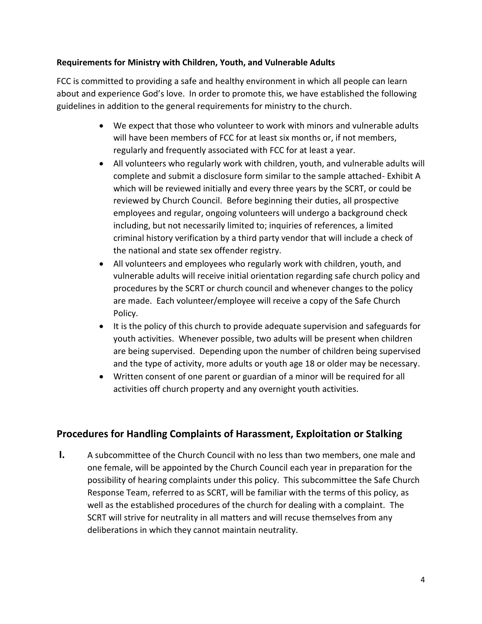### **Requirements for Ministry with Children, Youth, and Vulnerable Adults**

FCC is committed to providing a safe and healthy environment in which all people can learn about and experience God's love. In order to promote this, we have established the following guidelines in addition to the general requirements for ministry to the church.

- We expect that those who volunteer to work with minors and vulnerable adults will have been members of FCC for at least six months or, if not members, regularly and frequently associated with FCC for at least a year.
- All volunteers who regularly work with children, youth, and vulnerable adults will complete and submit a disclosure form similar to the sample attached- Exhibit A which will be reviewed initially and every three years by the SCRT, or could be reviewed by Church Council. Before beginning their duties, all prospective employees and regular, ongoing volunteers will undergo a background check including, but not necessarily limited to; inquiries of references, a limited criminal history verification by a third party vendor that will include a check of the national and state sex offender registry.
- All volunteers and employees who regularly work with children, youth, and vulnerable adults will receive initial orientation regarding safe church policy and procedures by the SCRT or church council and whenever changes to the policy are made. Each volunteer/employee will receive a copy of the Safe Church Policy.
- It is the policy of this church to provide adequate supervision and safeguards for youth activities. Whenever possible, two adults will be present when children are being supervised. Depending upon the number of children being supervised and the type of activity, more adults or youth age 18 or older may be necessary.
- Written consent of one parent or guardian of a minor will be required for all activities off church property and any overnight youth activities.

## **Procedures for Handling Complaints of Harassment, Exploitation or Stalking**

**I.** A subcommittee of the Church Council with no less than two members, one male and one female, will be appointed by the Church Council each year in preparation for the possibility of hearing complaints under this policy. This subcommittee the Safe Church Response Team, referred to as SCRT, will be familiar with the terms of this policy, as well as the established procedures of the church for dealing with a complaint. The SCRT will strive for neutrality in all matters and will recuse themselves from any deliberations in which they cannot maintain neutrality.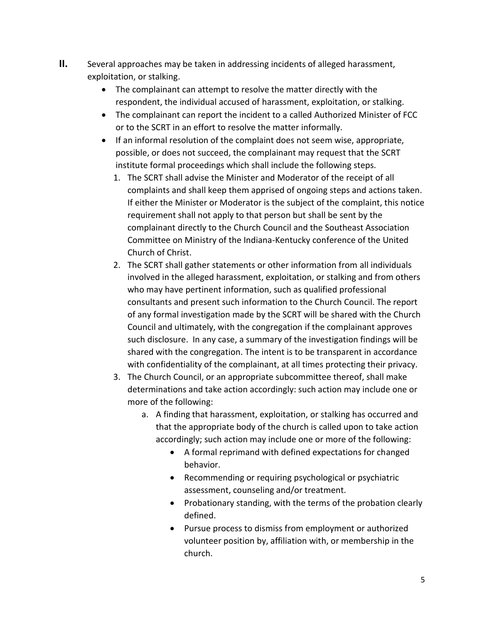- **II.** Several approaches may be taken in addressing incidents of alleged harassment, exploitation, or stalking.
	- The complainant can attempt to resolve the matter directly with the respondent, the individual accused of harassment, exploitation, or stalking.
	- The complainant can report the incident to a called Authorized Minister of FCC or to the SCRT in an effort to resolve the matter informally.
	- If an informal resolution of the complaint does not seem wise, appropriate, possible, or does not succeed, the complainant may request that the SCRT institute formal proceedings which shall include the following steps.
		- 1. The SCRT shall advise the Minister and Moderator of the receipt of all complaints and shall keep them apprised of ongoing steps and actions taken. If either the Minister or Moderator is the subject of the complaint, this notice requirement shall not apply to that person but shall be sent by the complainant directly to the Church Council and the Southeast Association Committee on Ministry of the Indiana-Kentucky conference of the United Church of Christ.
		- 2. The SCRT shall gather statements or other information from all individuals involved in the alleged harassment, exploitation, or stalking and from others who may have pertinent information, such as qualified professional consultants and present such information to the Church Council. The report of any formal investigation made by the SCRT will be shared with the Church Council and ultimately, with the congregation if the complainant approves such disclosure. In any case, a summary of the investigation findings will be shared with the congregation. The intent is to be transparent in accordance with confidentiality of the complainant, at all times protecting their privacy.
		- 3. The Church Council, or an appropriate subcommittee thereof, shall make determinations and take action accordingly: such action may include one or more of the following:
			- a. A finding that harassment, exploitation, or stalking has occurred and that the appropriate body of the church is called upon to take action accordingly; such action may include one or more of the following:
				- A formal reprimand with defined expectations for changed behavior.
				- Recommending or requiring psychological or psychiatric assessment, counseling and/or treatment.
				- Probationary standing, with the terms of the probation clearly defined.
				- Pursue process to dismiss from employment or authorized volunteer position by, affiliation with, or membership in the church.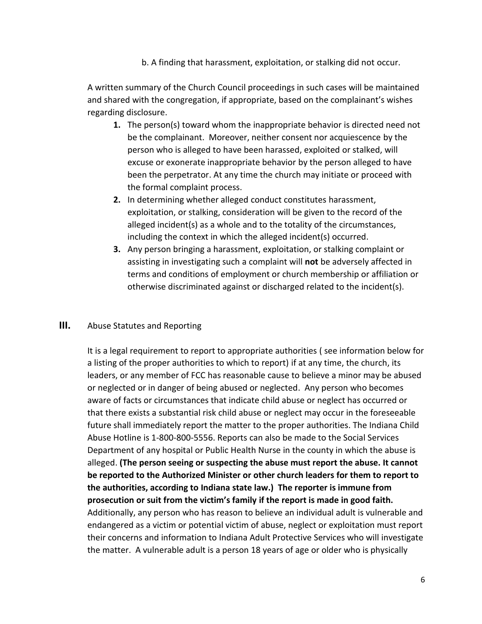b. A finding that harassment, exploitation, or stalking did not occur.

A written summary of the Church Council proceedings in such cases will be maintained and shared with the congregation, if appropriate, based on the complainant's wishes regarding disclosure.

- **1.** The person(s) toward whom the inappropriate behavior is directed need not be the complainant. Moreover, neither consent nor acquiescence by the person who is alleged to have been harassed, exploited or stalked, will excuse or exonerate inappropriate behavior by the person alleged to have been the perpetrator. At any time the church may initiate or proceed with the formal complaint process.
- **2.** In determining whether alleged conduct constitutes harassment, exploitation, or stalking, consideration will be given to the record of the alleged incident(s) as a whole and to the totality of the circumstances, including the context in which the alleged incident(s) occurred.
- **3.** Any person bringing a harassment, exploitation, or stalking complaint or assisting in investigating such a complaint will **not** be adversely affected in terms and conditions of employment or church membership or affiliation or otherwise discriminated against or discharged related to the incident(s).

### **III.** Abuse Statutes and Reporting

It is a legal requirement to report to appropriate authorities ( see information below for a listing of the proper authorities to which to report) if at any time, the church, its leaders, or any member of FCC has reasonable cause to believe a minor may be abused or neglected or in danger of being abused or neglected. Any person who becomes aware of facts or circumstances that indicate child abuse or neglect has occurred or that there exists a substantial risk child abuse or neglect may occur in the foreseeable future shall immediately report the matter to the proper authorities. The Indiana Child Abuse Hotline is 1-800-800-5556. Reports can also be made to the Social Services Department of any hospital or Public Health Nurse in the county in which the abuse is alleged. **(The person seeing or suspecting the abuse must report the abuse. It cannot be reported to the Authorized Minister or other church leaders for them to report to the authorities, according to Indiana state law.) The reporter is immune from prosecution or suit from the victim's family if the report is made in good faith.**  Additionally, any person who has reason to believe an individual adult is vulnerable and endangered as a victim or potential victim of abuse, neglect or exploitation must report their concerns and information to Indiana Adult Protective Services who will investigate the matter. A vulnerable adult is a person 18 years of age or older who is physically